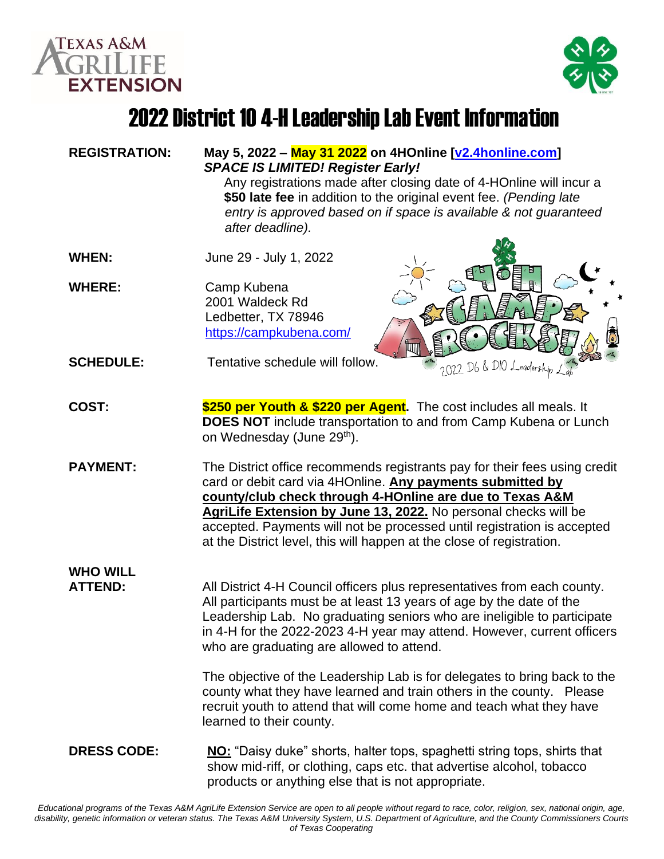



# 2022District 10 4-H Leadership Lab Event Information

| <b>REGISTRATION:</b>              | May 5, 2022 - May 31 2022 on 4HOnline [v2.4honline.com]<br><b>SPACE IS LIMITED! Register Early!</b><br>Any registrations made after closing date of 4-HOnline will incur a<br>\$50 late fee in addition to the original event fee. (Pending late<br>entry is approved based on if space is available & not guaranteed<br>after deadline).                                                                                   |
|-----------------------------------|-----------------------------------------------------------------------------------------------------------------------------------------------------------------------------------------------------------------------------------------------------------------------------------------------------------------------------------------------------------------------------------------------------------------------------|
| <b>WHEN:</b>                      | June 29 - July 1, 2022                                                                                                                                                                                                                                                                                                                                                                                                      |
| <b>WHERE:</b>                     | Camp Kubena<br>2001 Waldeck Rd<br>Ledbetter, TX 78946<br>https://campkubena.com/                                                                                                                                                                                                                                                                                                                                            |
| <b>SCHEDULE:</b>                  | Tentative schedule will follow.<br>2022 D6 & D10 Leadership                                                                                                                                                                                                                                                                                                                                                                 |
| COST:                             | \$250 per Youth & \$220 per Agent. The cost includes all meals. It<br><b>DOES NOT</b> include transportation to and from Camp Kubena or Lunch<br>on Wednesday (June 29 <sup>th</sup> ).                                                                                                                                                                                                                                     |
| <b>PAYMENT:</b>                   | The District office recommends registrants pay for their fees using credit<br>card or debit card via 4HOnline. Any payments submitted by<br>county/club check through 4-HOnline are due to Texas A&M<br>AgriLife Extension by June 13, 2022. No personal checks will be<br>accepted. Payments will not be processed until registration is accepted<br>at the District level, this will happen at the close of registration. |
| <b>WHO WILL</b><br><b>ATTEND:</b> | All District 4-H Council officers plus representatives from each county.<br>All participants must be at least 13 years of age by the date of the<br>Leadership Lab. No graduating seniors who are ineligible to participate<br>in 4-H for the 2022-2023 4-H year may attend. However, current officers<br>who are graduating are allowed to attend.                                                                         |
|                                   | The objective of the Leadership Lab is for delegates to bring back to the<br>county what they have learned and train others in the county. Please<br>recruit youth to attend that will come home and teach what they have<br>learned to their county.                                                                                                                                                                       |
| <b>DRESS CODE:</b>                | NO: "Daisy duke" shorts, halter tops, spaghetti string tops, shirts that<br>show mid-riff, or clothing, caps etc. that advertise alcohol, tobacco<br>products or anything else that is not appropriate.                                                                                                                                                                                                                     |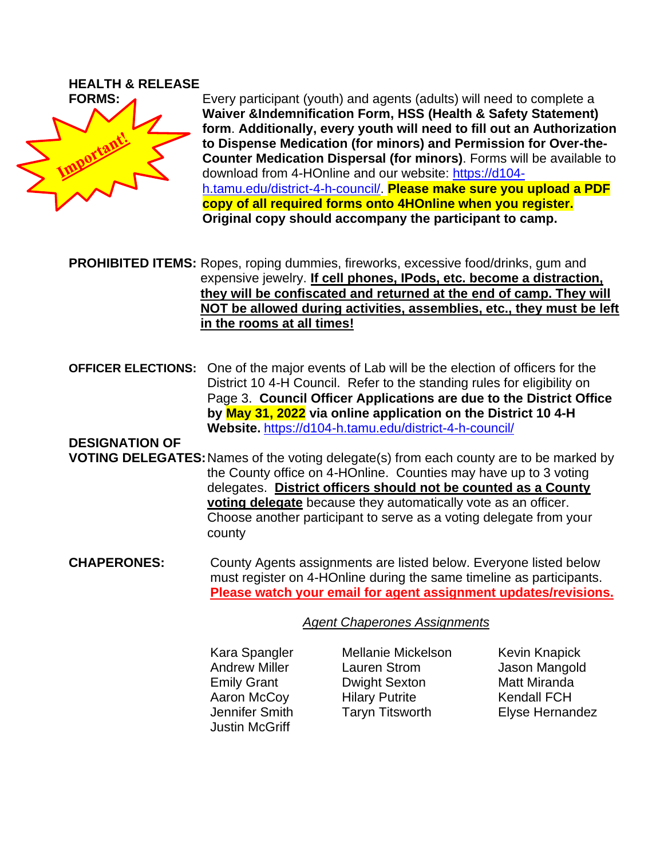

**FORMS:** Every participant (youth) and agents (adults) will need to complete a **Waiver &Indemnification Form, HSS (Health & Safety Statement) form**. **Additionally, every youth will need to fill out an Authorization to Dispense Medication (for minors) and Permission for Over-the-Counter Medication Dispersal (for minors)**. Forms will be available to download from 4-HOnline and our website: [https://d104](https://d104-h.tamu.edu/district-4-h-council/) [h.tamu.edu/district-4-h-council/.](https://d104-h.tamu.edu/district-4-h-council/) **Please make sure you upload a PDF copy of all required forms onto 4HOnline when you register. Original copy should accompany the participant to camp.**

**PROHIBITED ITEMS:** Ropes, roping dummies, fireworks, excessive food/drinks, gum and expensive jewelry. **If cell phones, IPods, etc. become a distraction, they will be confiscated and returned at the end of camp. They will NOT be allowed during activities, assemblies, etc., they must be left in the rooms at all times!** 

**OFFICER ELECTIONS:** One of the major events of Lab will be the election of officers for the District 10 4-H Council. Refer to the standing rules for eligibility on Page 3. **Council Officer Applications are due to the District Office by May 31, 2022 via online application on the District 10 4-H Website.** <https://d104-h.tamu.edu/district-4-h-council/>

### **DESIGNATION OF**

**VOTING DELEGATES:**Names of the voting delegate(s) from each county are to be marked by the County office on 4-HOnline. Counties may have up to 3 voting delegates. **District officers should not be counted as a County voting delegate** because they automatically vote as an officer. Choose another participant to serve as a voting delegate from your county

**CHAPERONES:** County Agents assignments are listed below. Everyone listed below must register on 4-HOnline during the same timeline as participants. **Please watch your email for agent assignment updates/revisions.**

#### *Agent Chaperones Assignments*

Justin McGriff

Kara Spangler Mellanie Mickelson Kevin Knapick Andrew Miller Lauren Strom and Jason Mangold<br>
Emily Grant Bowight Sexton Matt Miranda **Emily Grant Matter Dwight Sexton** Aaron McCoy Hilary Putrite Kendall FCH Jennifer Smith Taryn Titsworth Elyse Hernandez